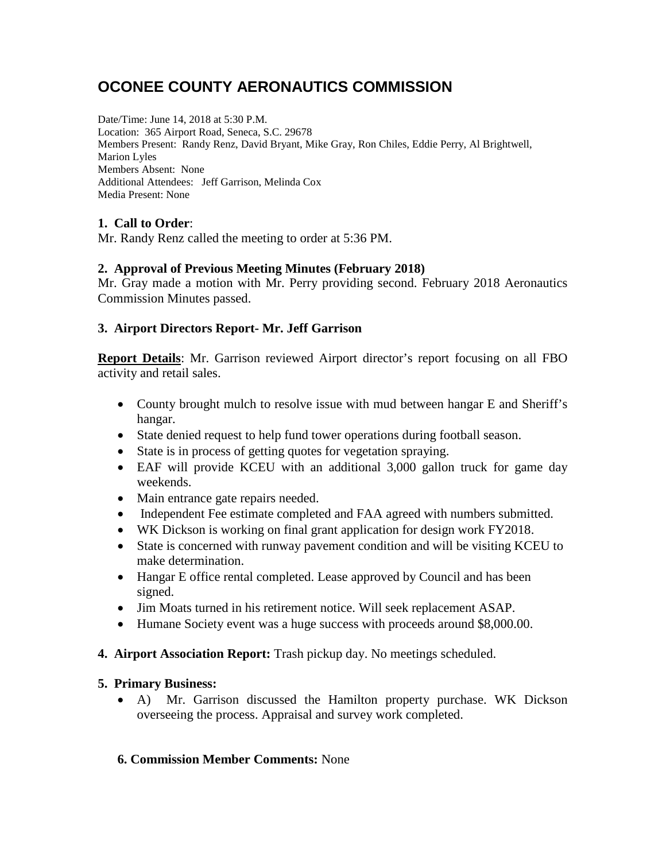# **OCONEE COUNTY AERONAUTICS COMMISSION**

Date/Time: June 14, 2018 at 5:30 P.M. Location: 365 Airport Road, Seneca, S.C. 29678 Members Present: Randy Renz, David Bryant, Mike Gray, Ron Chiles, Eddie Perry, Al Brightwell, Marion Lyles Members Absent: None Additional Attendees: Jeff Garrison, Melinda Cox Media Present: None

## **1. Call to Order**:

Mr. Randy Renz called the meeting to order at 5:36 PM.

### **2. Approval of Previous Meeting Minutes (February 2018)**

Mr. Gray made a motion with Mr. Perry providing second. February 2018 Aeronautics Commission Minutes passed.

## **3. Airport Directors Report- Mr. Jeff Garrison**

**Report Details**: Mr. Garrison reviewed Airport director's report focusing on all FBO activity and retail sales.

- County brought mulch to resolve issue with mud between hangar E and Sheriff's hangar.
- State denied request to help fund tower operations during football season.
- State is in process of getting quotes for vegetation spraying.
- EAF will provide KCEU with an additional 3,000 gallon truck for game day weekends.
- Main entrance gate repairs needed.
- Independent Fee estimate completed and FAA agreed with numbers submitted.
- WK Dickson is working on final grant application for design work FY2018.
- State is concerned with runway pavement condition and will be visiting KCEU to make determination.
- Hangar E office rental completed. Lease approved by Council and has been signed.
- Jim Moats turned in his retirement notice. Will seek replacement ASAP.
- Humane Society event was a huge success with proceeds around \$8,000.00.
- **4. Airport Association Report:** Trash pickup day. No meetings scheduled.

### **5. Primary Business:**

• A) Mr. Garrison discussed the Hamilton property purchase. WK Dickson overseeing the process. Appraisal and survey work completed.

### **6. Commission Member Comments:** None